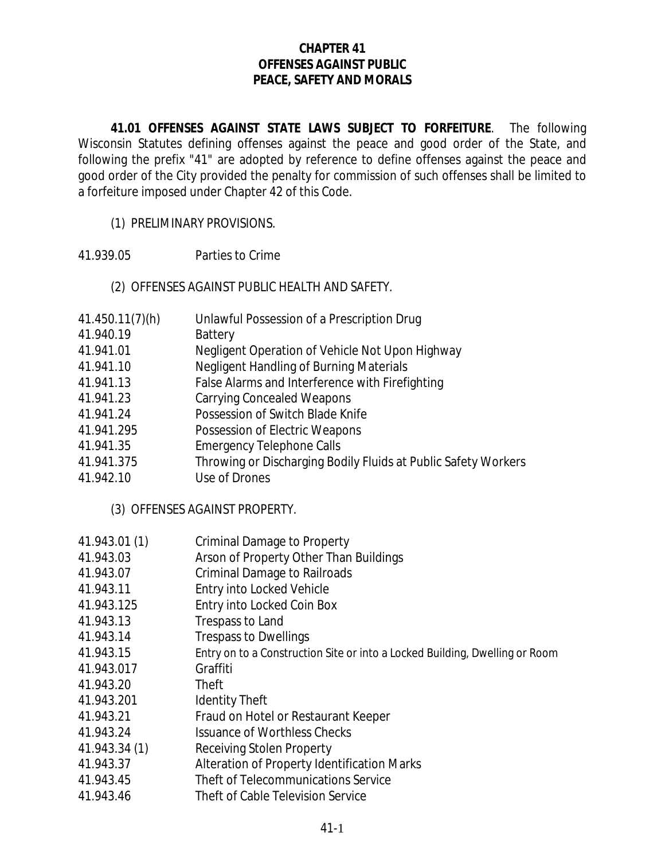### **CHAPTER 41 OFFENSES AGAINST PUBLIC PEACE, SAFETY AND MORALS**

**41.01 OFFENSES AGAINST STATE LAWS SUBJECT TO FORFEITURE**. The following Wisconsin Statutes defining offenses against the peace and good order of the State, and following the prefix "41" are adopted by reference to define offenses against the peace and good order of the City provided the penalty for commission of such offenses shall be limited to a forfeiture imposed under Chapter 42 of this Code.

- (1) PRELIMINARY PROVISIONS.
- 41.939.05 Parties to Crime

#### (2) OFFENSES AGAINST PUBLIC HEALTH AND SAFETY.

- 41.450.11(7)(h) Unlawful Possession of a Prescription Drug
- 41.940.19 Battery
- 41.941.01 Negligent Operation of Vehicle Not Upon Highway
- 41.941.10 Negligent Handling of Burning Materials
- 41.941.13 False Alarms and Interference with Firefighting
- 41.941.23 Carrying Concealed Weapons
- 41.941.24 Possession of Switch Blade Knife
- 41.941.295 Possession of Electric Weapons
- 41.941.35 Emergency Telephone Calls
- 41.941.375 Throwing or Discharging Bodily Fluids at Public Safety Workers
- 41.942.10 Use of Drones

(3) OFFENSES AGAINST PROPERTY.

- 41.943.01 (1) Criminal Damage to Property
- 41.943.03 Arson of Property Other Than Buildings
- 41.943.07 Criminal Damage to Railroads
- 41.943.11 Entry into Locked Vehicle
- 41.943.125 Entry into Locked Coin Box
- 41.943.13 Trespass to Land
- 41.943.14 Trespass to Dwellings
- 41.943.15 Entry on to a Construction Site or into a Locked Building, Dwelling or Room
- 41.943.017 Graffiti
- 41.943.20 Theft
- 41.943.201 Identity Theft
- 41.943.21 Fraud on Hotel or Restaurant Keeper
- 41.943.24 Issuance of Worthless Checks
- 41.943.34 (1) Receiving Stolen Property
- 41.943.37 Alteration of Property Identification Marks
- 41.943.45 Theft of Telecommunications Service
- 41.943.46 Theft of Cable Television Service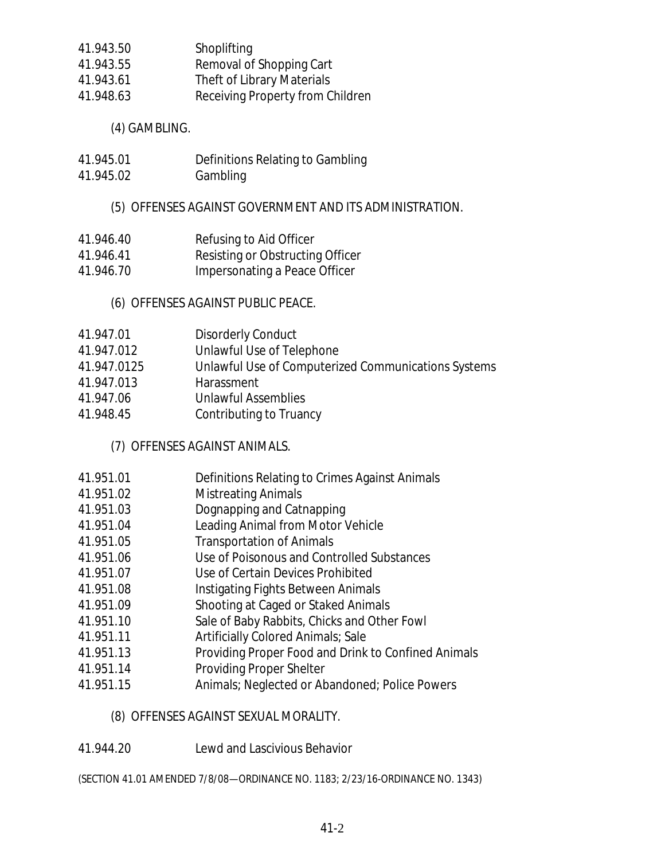41.943.50 Shoplifting 41.943.55 Removal of Shopping Cart 41.943.61 Theft of Library Materials 41.948.63 Receiving Property from Children

(4) GAMBLING.

- 41.945.01 Definitions Relating to Gambling
- 41.945.02 Gambling

# (5) OFFENSES AGAINST GOVERNMENT AND ITS ADMINISTRATION.

- 41.946.40 Refusing to Aid Officer
- 41.946.41 Resisting or Obstructing Officer
- 41.946.70 Impersonating a Peace Officer

(6) OFFENSES AGAINST PUBLIC PEACE.

- 41.947.01 Disorderly Conduct
- 41.947.012 Unlawful Use of Telephone
- 41.947.0125 Unlawful Use of Computerized Communications Systems
- 41.947.013 Harassment
- 41.947.06 Unlawful Assemblies
- 41.948.45 Contributing to Truancy

(7) OFFENSES AGAINST ANIMALS.

- 41.951.01 Definitions Relating to Crimes Against Animals
- 41.951.02 Mistreating Animals
- 41.951.03 Dognapping and Catnapping
- 41.951.04 Leading Animal from Motor Vehicle
- 41.951.05 Transportation of Animals
- 41.951.06 Use of Poisonous and Controlled Substances
- 41.951.07 Use of Certain Devices Prohibited
- 41.951.08 Instigating Fights Between Animals
- 41.951.09 Shooting at Caged or Staked Animals
- 41.951.10 Sale of Baby Rabbits, Chicks and Other Fowl
- 41.951.11 Artificially Colored Animals; Sale
- 41.951.13 Providing Proper Food and Drink to Confined Animals
- 41.951.14 Providing Proper Shelter
- 41.951.15 Animals; Neglected or Abandoned; Police Powers

# (8) OFFENSES AGAINST SEXUAL MORALITY.

41.944.20 Lewd and Lascivious Behavior

(SECTION 41.01 AMENDED 7/8/08—ORDINANCE NO. 1183; 2/23/16-ORDINANCE NO. 1343)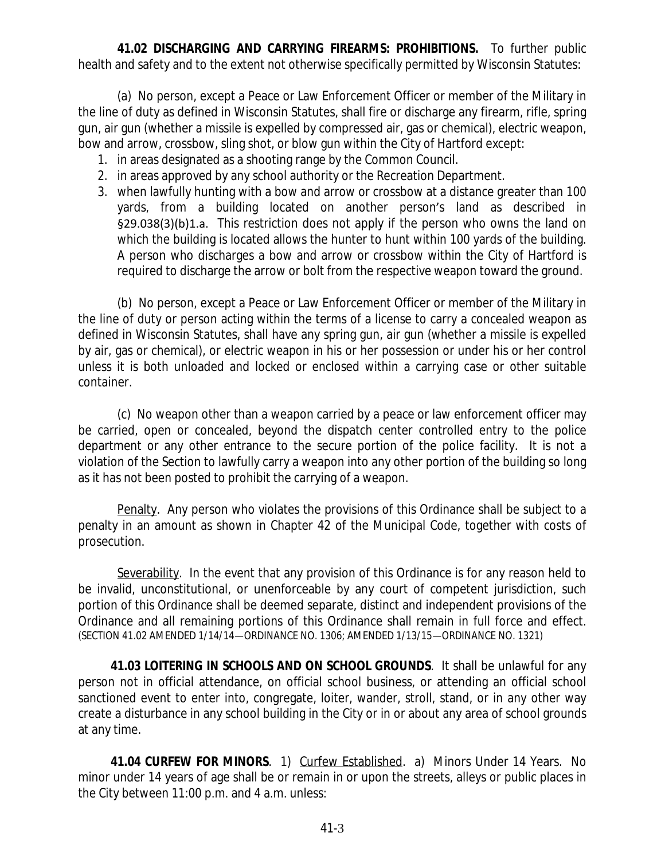**41.02 DISCHARGING AND CARRYING FIREARMS: PROHIBITIONS.** To further public health and safety and to the extent not otherwise specifically permitted by Wisconsin Statutes:

(a) No person, except a Peace or Law Enforcement Officer or member of the Military in the line of duty as defined in Wisconsin Statutes, shall fire or discharge any firearm, rifle, spring gun, air gun (whether a missile is expelled by compressed air, gas or chemical), electric weapon, bow and arrow, crossbow, sling shot, or blow gun within the City of Hartford except:

- 1. in areas designated as a shooting range by the Common Council.
- 2. in areas approved by any school authority or the Recreation Department.
- 3. when lawfully hunting with a bow and arrow or crossbow at a distance greater than 100 yards, from a building located on another person's land as described in §29.038(3)(b)1.a. This restriction does not apply if the person who owns the land on which the building is located allows the hunter to hunt within 100 yards of the building. A person who discharges a bow and arrow or crossbow within the City of Hartford is required to discharge the arrow or bolt from the respective weapon toward the ground.

(b) No person, except a Peace or Law Enforcement Officer or member of the Military in the line of duty or person acting within the terms of a license to carry a concealed weapon as defined in Wisconsin Statutes, shall have any spring gun, air gun (whether a missile is expelled by air, gas or chemical), or electric weapon in his or her possession or under his or her control unless it is both unloaded and locked or enclosed within a carrying case or other suitable container.

(c) No weapon other than a weapon carried by a peace or law enforcement officer may be carried, open or concealed, beyond the dispatch center controlled entry to the police department or any other entrance to the secure portion of the police facility. It is not a violation of the Section to lawfully carry a weapon into any other portion of the building so long as it has not been posted to prohibit the carrying of a weapon.

Penalty. Any person who violates the provisions of this Ordinance shall be subject to a penalty in an amount as shown in Chapter 42 of the Municipal Code, together with costs of prosecution.

Severability. In the event that any provision of this Ordinance is for any reason held to be invalid, unconstitutional, or unenforceable by any court of competent jurisdiction, such portion of this Ordinance shall be deemed separate, distinct and independent provisions of the Ordinance and all remaining portions of this Ordinance shall remain in full force and effect. (SECTION 41.02 AMENDED 1/14/14—ORDINANCE NO. 1306; AMENDED 1/13/15—ORDINANCE NO. 1321)

**41.03 LOITERING IN SCHOOLS AND ON SCHOOL GROUNDS**. It shall be unlawful for any person not in official attendance, on official school business, or attending an official school sanctioned event to enter into, congregate, loiter, wander, stroll, stand, or in any other way create a disturbance in any school building in the City or in or about any area of school grounds at any time.

**41.04 CURFEW FOR MINORS**. 1) Curfew Established. a) Minors Under 14 Years. No minor under 14 years of age shall be or remain in or upon the streets, alleys or public places in the City between 11:00 p.m. and 4 a.m. unless: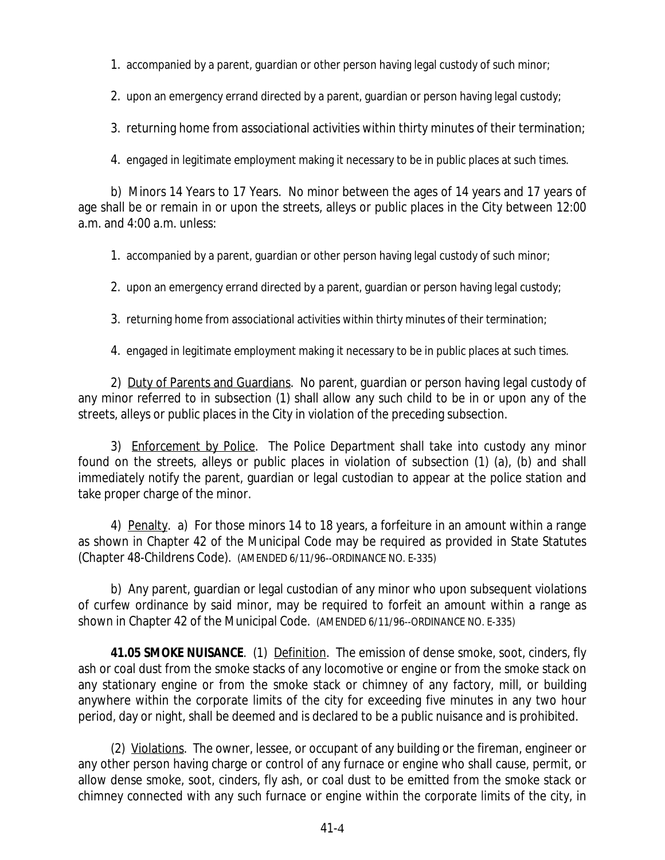1. accompanied by a parent, guardian or other person having legal custody of such minor;

2. upon an emergency errand directed by a parent, guardian or person having legal custody;

3. returning home from associational activities within thirty minutes of their termination;

4. engaged in legitimate employment making it necessary to be in public places at such times.

b) Minors 14 Years to 17 Years. No minor between the ages of 14 years and 17 years of age shall be or remain in or upon the streets, alleys or public places in the City between 12:00 a.m. and 4:00 a.m. unless:

1. accompanied by a parent, guardian or other person having legal custody of such minor;

2. upon an emergency errand directed by a parent, guardian or person having legal custody;

3. returning home from associational activities within thirty minutes of their termination;

4. engaged in legitimate employment making it necessary to be in public places at such times.

2) Duty of Parents and Guardians. No parent, guardian or person having legal custody of any minor referred to in subsection (1) shall allow any such child to be in or upon any of the streets, alleys or public places in the City in violation of the preceding subsection.

3) Enforcement by Police. The Police Department shall take into custody any minor found on the streets, alleys or public places in violation of subsection (1) (a), (b) and shall immediately notify the parent, guardian or legal custodian to appear at the police station and take proper charge of the minor.

4) Penalty. a) For those minors 14 to 18 years, a forfeiture in an amount within a range as shown in Chapter 42 of the Municipal Code may be required as provided in State Statutes (Chapter 48-Childrens Code). (AMENDED 6/11/96--ORDINANCE NO. E-335)

b) Any parent, guardian or legal custodian of any minor who upon subsequent violations of curfew ordinance by said minor, may be required to forfeit an amount within a range as shown in Chapter 42 of the Municipal Code. (AMENDED 6/11/96--ORDINANCE NO. E-335)

**41.05 SMOKE NUISANCE**. (1) Definition. The emission of dense smoke, soot, cinders, fly ash or coal dust from the smoke stacks of any locomotive or engine or from the smoke stack on any stationary engine or from the smoke stack or chimney of any factory, mill, or building anywhere within the corporate limits of the city for exceeding five minutes in any two hour period, day or night, shall be deemed and is declared to be a public nuisance and is prohibited.

(2) Violations. The owner, lessee, or occupant of any building or the fireman, engineer or any other person having charge or control of any furnace or engine who shall cause, permit, or allow dense smoke, soot, cinders, fly ash, or coal dust to be emitted from the smoke stack or chimney connected with any such furnace or engine within the corporate limits of the city, in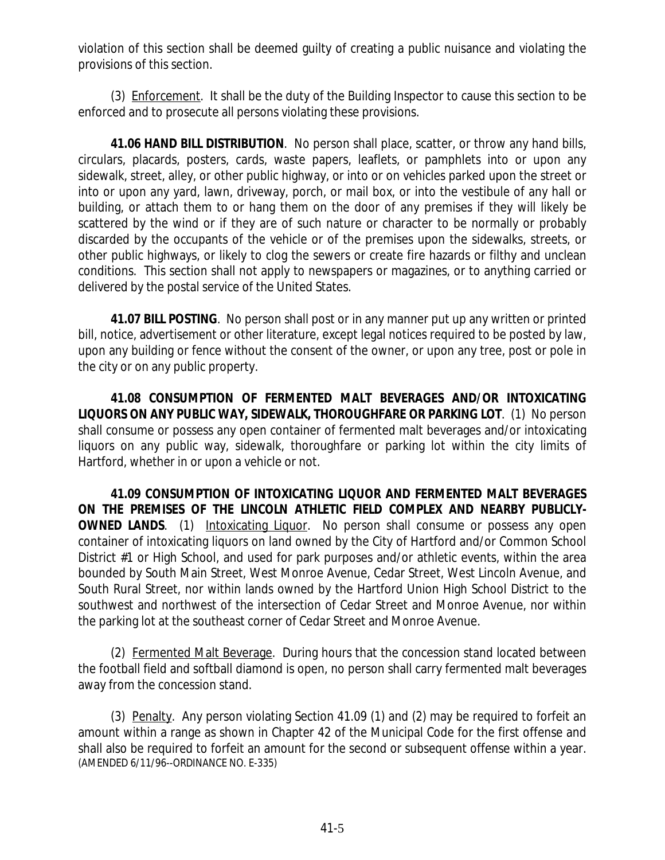violation of this section shall be deemed guilty of creating a public nuisance and violating the provisions of this section.

(3) Enforcement. It shall be the duty of the Building Inspector to cause this section to be enforced and to prosecute all persons violating these provisions.

**41.06 HAND BILL DISTRIBUTION**. No person shall place, scatter, or throw any hand bills, circulars, placards, posters, cards, waste papers, leaflets, or pamphlets into or upon any sidewalk, street, alley, or other public highway, or into or on vehicles parked upon the street or into or upon any yard, lawn, driveway, porch, or mail box, or into the vestibule of any hall or building, or attach them to or hang them on the door of any premises if they will likely be scattered by the wind or if they are of such nature or character to be normally or probably discarded by the occupants of the vehicle or of the premises upon the sidewalks, streets, or other public highways, or likely to clog the sewers or create fire hazards or filthy and unclean conditions. This section shall not apply to newspapers or magazines, or to anything carried or delivered by the postal service of the United States.

**41.07 BILL POSTING**. No person shall post or in any manner put up any written or printed bill, notice, advertisement or other literature, except legal notices required to be posted by law, upon any building or fence without the consent of the owner, or upon any tree, post or pole in the city or on any public property.

**41.08 CONSUMPTION OF FERMENTED MALT BEVERAGES AND/OR INTOXICATING LIQUORS ON ANY PUBLIC WAY, SIDEWALK, THOROUGHFARE OR PARKING LOT**. (1) No person shall consume or possess any open container of fermented malt beverages and/or intoxicating liquors on any public way, sidewalk, thoroughfare or parking lot within the city limits of Hartford, whether in or upon a vehicle or not.

**41.09 CONSUMPTION OF INTOXICATING LIQUOR AND FERMENTED MALT BEVERAGES ON THE PREMISES OF THE LINCOLN ATHLETIC FIELD COMPLEX AND NEARBY PUBLICLY-OWNED LANDS.** (1) Intoxicating Liquor. No person shall consume or possess any open container of intoxicating liquors on land owned by the City of Hartford and/or Common School District #1 or High School, and used for park purposes and/or athletic events, within the area bounded by South Main Street, West Monroe Avenue, Cedar Street, West Lincoln Avenue, and South Rural Street, nor within lands owned by the Hartford Union High School District to the southwest and northwest of the intersection of Cedar Street and Monroe Avenue, nor within the parking lot at the southeast corner of Cedar Street and Monroe Avenue.

(2) Fermented Malt Beverage. During hours that the concession stand located between the football field and softball diamond is open, no person shall carry fermented malt beverages away from the concession stand.

(3) Penalty. Any person violating Section 41.09 (1) and (2) may be required to forfeit an amount within a range as shown in Chapter 42 of the Municipal Code for the first offense and shall also be required to forfeit an amount for the second or subsequent offense within a year. (AMENDED 6/11/96--ORDINANCE NO. E-335)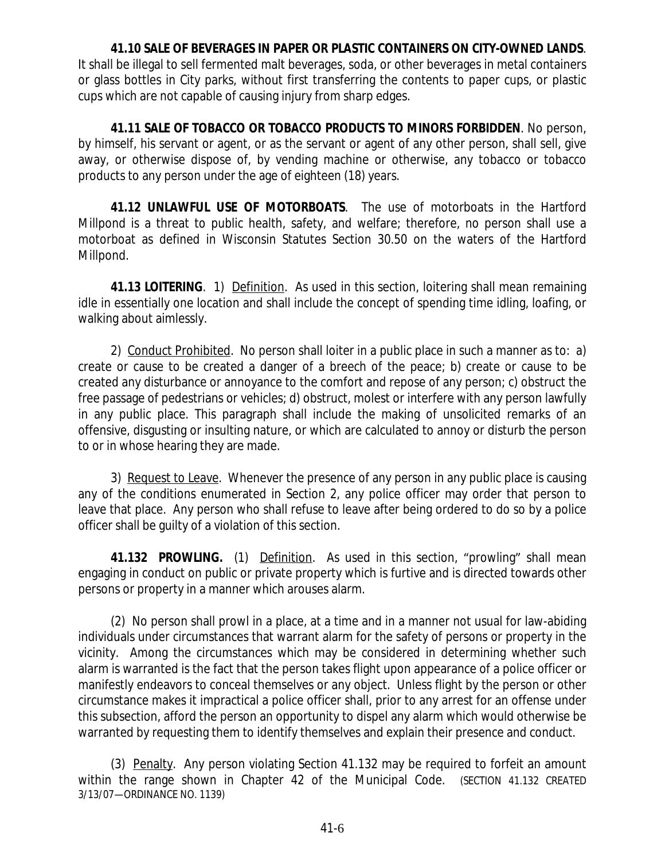**41.10 SALE OF BEVERAGES IN PAPER OR PLASTIC CONTAINERS ON CITY-OWNED LANDS**. It shall be illegal to sell fermented malt beverages, soda, or other beverages in metal containers or glass bottles in City parks, without first transferring the contents to paper cups, or plastic cups which are not capable of causing injury from sharp edges.

**41.11 SALE OF TOBACCO OR TOBACCO PRODUCTS TO MINORS FORBIDDEN**. No person, by himself, his servant or agent, or as the servant or agent of any other person, shall sell, give away, or otherwise dispose of, by vending machine or otherwise, any tobacco or tobacco products to any person under the age of eighteen (18) years.

**41.12 UNLAWFUL USE OF MOTORBOATS**. The use of motorboats in the Hartford Millpond is a threat to public health, safety, and welfare; therefore, no person shall use a motorboat as defined in Wisconsin Statutes Section 30.50 on the waters of the Hartford Millpond.

**41.13 LOITERING**. 1) Definition. As used in this section, loitering shall mean remaining idle in essentially one location and shall include the concept of spending time idling, loafing, or walking about aimlessly.

2) Conduct Prohibited. No person shall loiter in a public place in such a manner as to: a) create or cause to be created a danger of a breech of the peace; b) create or cause to be created any disturbance or annoyance to the comfort and repose of any person; c) obstruct the free passage of pedestrians or vehicles; d) obstruct, molest or interfere with any person lawfully in any public place. This paragraph shall include the making of unsolicited remarks of an offensive, disgusting or insulting nature, or which are calculated to annoy or disturb the person to or in whose hearing they are made.

3) Request to Leave. Whenever the presence of any person in any public place is causing any of the conditions enumerated in Section 2, any police officer may order that person to leave that place. Any person who shall refuse to leave after being ordered to do so by a police officer shall be guilty of a violation of this section.

**41.132 PROWLING.** (1) Definition. As used in this section, "prowling" shall mean engaging in conduct on public or private property which is furtive and is directed towards other persons or property in a manner which arouses alarm.

(2) No person shall prowl in a place, at a time and in a manner not usual for law-abiding individuals under circumstances that warrant alarm for the safety of persons or property in the vicinity. Among the circumstances which may be considered in determining whether such alarm is warranted is the fact that the person takes flight upon appearance of a police officer or manifestly endeavors to conceal themselves or any object. Unless flight by the person or other circumstance makes it impractical a police officer shall, prior to any arrest for an offense under this subsection, afford the person an opportunity to dispel any alarm which would otherwise be warranted by requesting them to identify themselves and explain their presence and conduct.

(3) Penalty. Any person violating Section 41.132 may be required to forfeit an amount within the range shown in Chapter 42 of the Municipal Code. (SECTION 41.132 CREATED 3/13/07—ORDINANCE NO. 1139)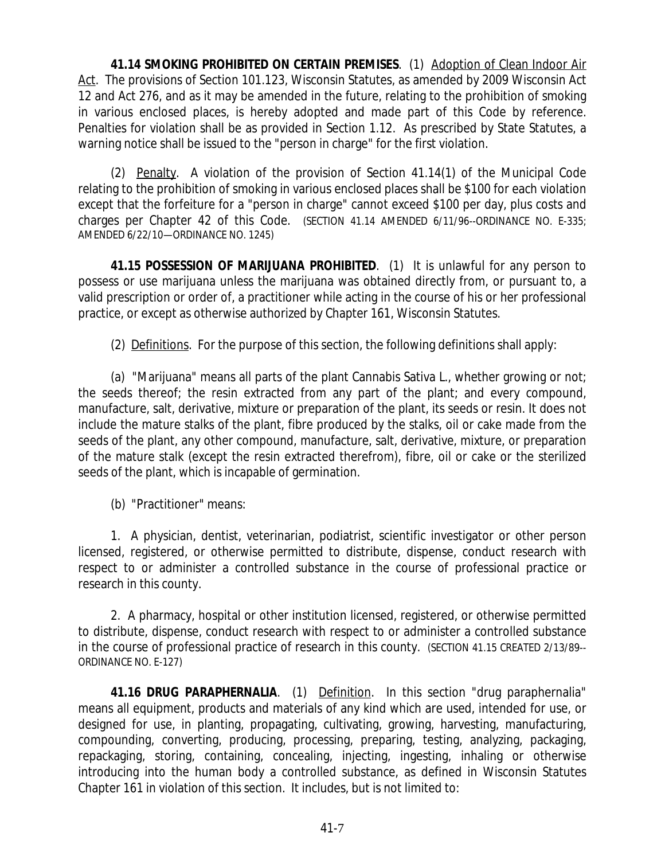**41.14 SMOKING PROHIBITED ON CERTAIN PREMISES**. (1) Adoption of Clean Indoor Air Act. The provisions of Section 101.123, Wisconsin Statutes, as amended by 2009 Wisconsin Act 12 and Act 276, and as it may be amended in the future, relating to the prohibition of smoking in various enclosed places, is hereby adopted and made part of this Code by reference. Penalties for violation shall be as provided in Section 1.12. As prescribed by State Statutes, a warning notice shall be issued to the "person in charge" for the first violation.

(2) Penalty. A violation of the provision of Section 41.14(1) of the Municipal Code relating to the prohibition of smoking in various enclosed places shall be \$100 for each violation except that the forfeiture for a "person in charge" cannot exceed \$100 per day, plus costs and charges per Chapter 42 of this Code. (SECTION 41.14 AMENDED 6/11/96--ORDINANCE NO. E-335; AMENDED 6/22/10—ORDINANCE NO. 1245)

**41.15 POSSESSION OF MARIJUANA PROHIBITED**. (1) It is unlawful for any person to possess or use marijuana unless the marijuana was obtained directly from, or pursuant to, a valid prescription or order of, a practitioner while acting in the course of his or her professional practice, or except as otherwise authorized by Chapter 161, Wisconsin Statutes.

(2) Definitions. For the purpose of this section, the following definitions shall apply:

(a) "Marijuana" means all parts of the plant Cannabis Sativa L., whether growing or not; the seeds thereof; the resin extracted from any part of the plant; and every compound, manufacture, salt, derivative, mixture or preparation of the plant, its seeds or resin. It does not include the mature stalks of the plant, fibre produced by the stalks, oil or cake made from the seeds of the plant, any other compound, manufacture, salt, derivative, mixture, or preparation of the mature stalk (except the resin extracted therefrom), fibre, oil or cake or the sterilized seeds of the plant, which is incapable of germination.

(b) "Practitioner" means:

1. A physician, dentist, veterinarian, podiatrist, scientific investigator or other person licensed, registered, or otherwise permitted to distribute, dispense, conduct research with respect to or administer a controlled substance in the course of professional practice or research in this county.

2. A pharmacy, hospital or other institution licensed, registered, or otherwise permitted to distribute, dispense, conduct research with respect to or administer a controlled substance in the course of professional practice of research in this county. (SECTION 41.15 CREATED 2/13/89-- ORDINANCE NO. E-127)

**41.16 DRUG PARAPHERNALIA**. (1) Definition. In this section "drug paraphernalia" means all equipment, products and materials of any kind which are used, intended for use, or designed for use, in planting, propagating, cultivating, growing, harvesting, manufacturing, compounding, converting, producing, processing, preparing, testing, analyzing, packaging, repackaging, storing, containing, concealing, injecting, ingesting, inhaling or otherwise introducing into the human body a controlled substance, as defined in Wisconsin Statutes Chapter 161 in violation of this section. It includes, but is not limited to: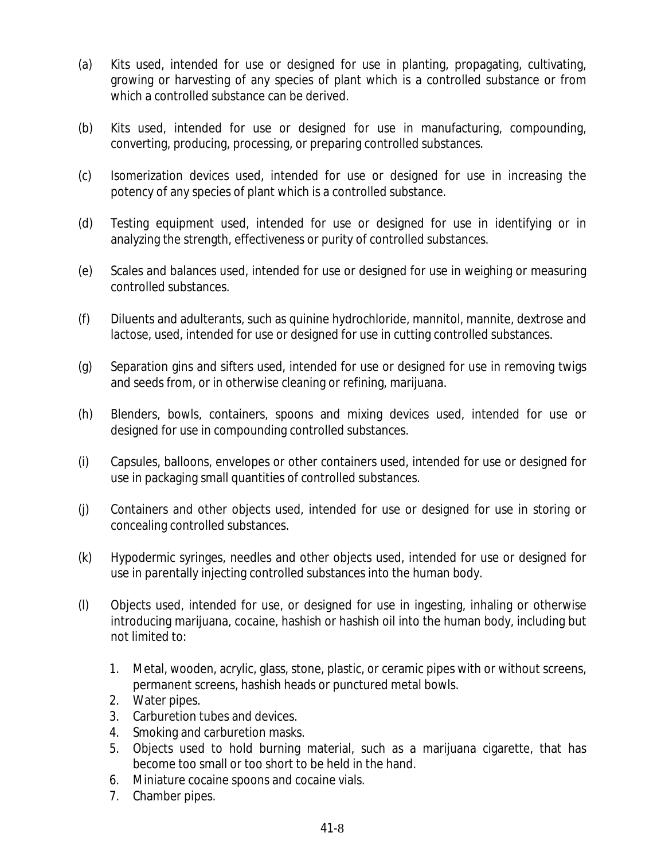- (a) Kits used, intended for use or designed for use in planting, propagating, cultivating, growing or harvesting of any species of plant which is a controlled substance or from which a controlled substance can be derived.
- (b) Kits used, intended for use or designed for use in manufacturing, compounding, converting, producing, processing, or preparing controlled substances.
- (c) Isomerization devices used, intended for use or designed for use in increasing the potency of any species of plant which is a controlled substance.
- (d) Testing equipment used, intended for use or designed for use in identifying or in analyzing the strength, effectiveness or purity of controlled substances.
- (e) Scales and balances used, intended for use or designed for use in weighing or measuring controlled substances.
- (f) Diluents and adulterants, such as quinine hydrochloride, mannitol, mannite, dextrose and lactose, used, intended for use or designed for use in cutting controlled substances.
- (g) Separation gins and sifters used, intended for use or designed for use in removing twigs and seeds from, or in otherwise cleaning or refining, marijuana.
- (h) Blenders, bowls, containers, spoons and mixing devices used, intended for use or designed for use in compounding controlled substances.
- (i) Capsules, balloons, envelopes or other containers used, intended for use or designed for use in packaging small quantities of controlled substances.
- (j) Containers and other objects used, intended for use or designed for use in storing or concealing controlled substances.
- (k) Hypodermic syringes, needles and other objects used, intended for use or designed for use in parentally injecting controlled substances into the human body.
- (l) Objects used, intended for use, or designed for use in ingesting, inhaling or otherwise introducing marijuana, cocaine, hashish or hashish oil into the human body, including but not limited to:
	- 1. Metal, wooden, acrylic, glass, stone, plastic, or ceramic pipes with or without screens, permanent screens, hashish heads or punctured metal bowls.
	- 2. Water pipes.
	- 3. Carburetion tubes and devices.
	- 4. Smoking and carburetion masks.
	- 5. Objects used to hold burning material, such as a marijuana cigarette, that has become too small or too short to be held in the hand.
	- 6. Miniature cocaine spoons and cocaine vials.
	- 7. Chamber pipes.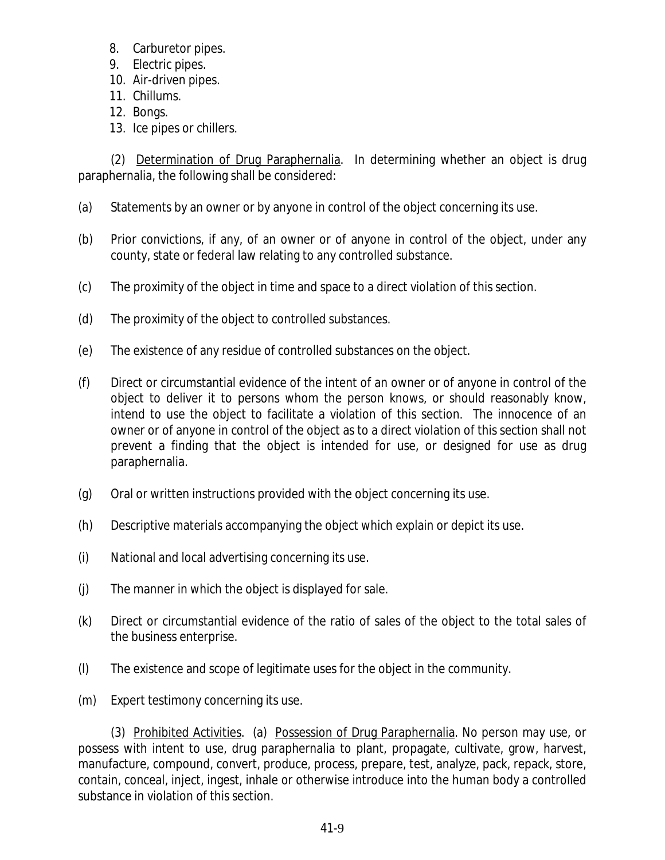- 8. Carburetor pipes.
- 9. Electric pipes.
- 10. Air-driven pipes.
- 11. Chillums.
- 12. Bongs.
- 13. Ice pipes or chillers.

(2) Determination of Drug Paraphernalia. In determining whether an object is drug paraphernalia, the following shall be considered:

- (a) Statements by an owner or by anyone in control of the object concerning its use.
- (b) Prior convictions, if any, of an owner or of anyone in control of the object, under any county, state or federal law relating to any controlled substance.
- (c) The proximity of the object in time and space to a direct violation of this section.
- (d) The proximity of the object to controlled substances.
- (e) The existence of any residue of controlled substances on the object.
- (f) Direct or circumstantial evidence of the intent of an owner or of anyone in control of the object to deliver it to persons whom the person knows, or should reasonably know, intend to use the object to facilitate a violation of this section. The innocence of an owner or of anyone in control of the object as to a direct violation of this section shall not prevent a finding that the object is intended for use, or designed for use as drug paraphernalia.
- (g) Oral or written instructions provided with the object concerning its use.
- (h) Descriptive materials accompanying the object which explain or depict its use.
- (i) National and local advertising concerning its use.
- (j) The manner in which the object is displayed for sale.
- (k) Direct or circumstantial evidence of the ratio of sales of the object to the total sales of the business enterprise.
- (l) The existence and scope of legitimate uses for the object in the community.
- (m) Expert testimony concerning its use.

(3) Prohibited Activities. (a) Possession of Drug Paraphernalia. No person may use, or possess with intent to use, drug paraphernalia to plant, propagate, cultivate, grow, harvest, manufacture, compound, convert, produce, process, prepare, test, analyze, pack, repack, store, contain, conceal, inject, ingest, inhale or otherwise introduce into the human body a controlled substance in violation of this section.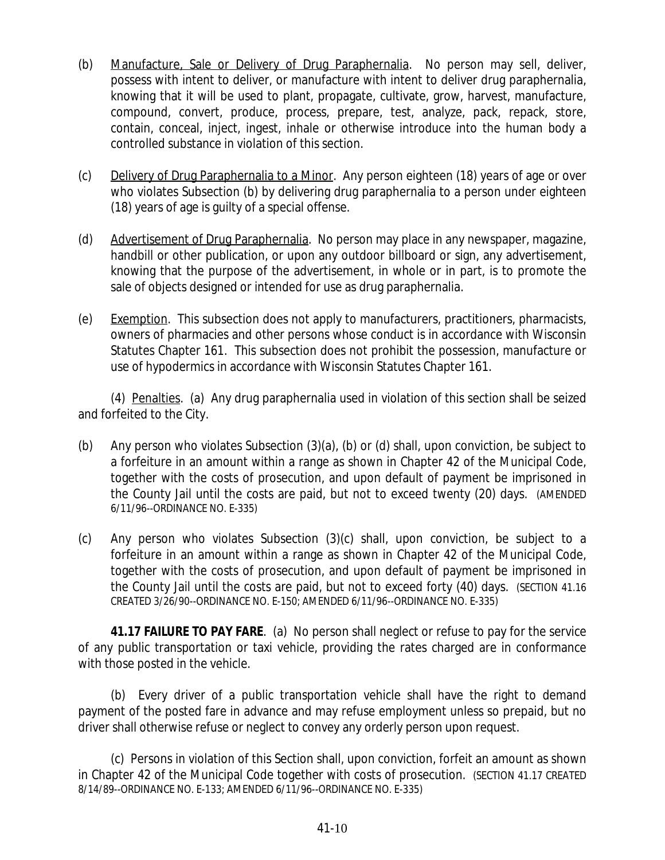- (b) Manufacture, Sale or Delivery of Drug Paraphernalia. No person may sell, deliver, possess with intent to deliver, or manufacture with intent to deliver drug paraphernalia, knowing that it will be used to plant, propagate, cultivate, grow, harvest, manufacture, compound, convert, produce, process, prepare, test, analyze, pack, repack, store, contain, conceal, inject, ingest, inhale or otherwise introduce into the human body a controlled substance in violation of this section.
- (c) Delivery of Drug Paraphernalia to a Minor. Any person eighteen (18) years of age or over who violates Subsection (b) by delivering drug paraphernalia to a person under eighteen (18) years of age is guilty of a special offense.
- (d) Advertisement of Drug Paraphernalia. No person may place in any newspaper, magazine, handbill or other publication, or upon any outdoor billboard or sign, any advertisement, knowing that the purpose of the advertisement, in whole or in part, is to promote the sale of objects designed or intended for use as drug paraphernalia.
- (e) Exemption. This subsection does not apply to manufacturers, practitioners, pharmacists, owners of pharmacies and other persons whose conduct is in accordance with Wisconsin Statutes Chapter 161. This subsection does not prohibit the possession, manufacture or use of hypodermics in accordance with Wisconsin Statutes Chapter 161.

(4) Penalties. (a) Any drug paraphernalia used in violation of this section shall be seized and forfeited to the City.

- (b) Any person who violates Subsection (3)(a), (b) or (d) shall, upon conviction, be subject to a forfeiture in an amount within a range as shown in Chapter 42 of the Municipal Code, together with the costs of prosecution, and upon default of payment be imprisoned in the County Jail until the costs are paid, but not to exceed twenty (20) days. (AMENDED 6/11/96--ORDINANCE NO. E-335)
- (c) Any person who violates Subsection (3)(c) shall, upon conviction, be subject to a forfeiture in an amount within a range as shown in Chapter 42 of the Municipal Code, together with the costs of prosecution, and upon default of payment be imprisoned in the County Jail until the costs are paid, but not to exceed forty (40) days. (SECTION 41.16 CREATED 3/26/90--ORDINANCE NO. E-150; AMENDED 6/11/96--ORDINANCE NO. E-335)

**41.17 FAILURE TO PAY FARE**. (a) No person shall neglect or refuse to pay for the service of any public transportation or taxi vehicle, providing the rates charged are in conformance with those posted in the vehicle.

(b) Every driver of a public transportation vehicle shall have the right to demand payment of the posted fare in advance and may refuse employment unless so prepaid, but no driver shall otherwise refuse or neglect to convey any orderly person upon request.

(c) Persons in violation of this Section shall, upon conviction, forfeit an amount as shown in Chapter 42 of the Municipal Code together with costs of prosecution. (SECTION 41.17 CREATED 8/14/89--ORDINANCE NO. E-133; AMENDED 6/11/96--ORDINANCE NO. E-335)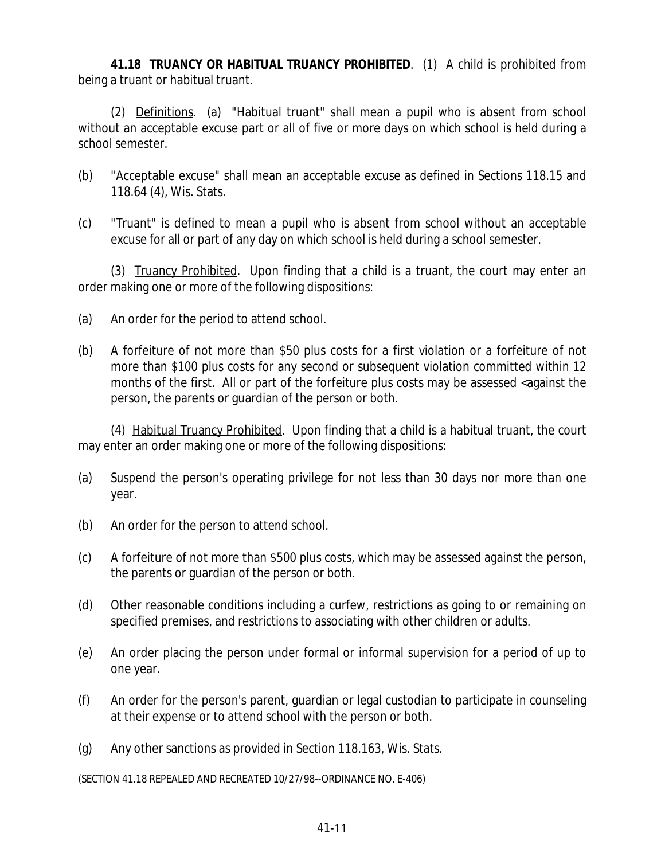**41.18 TRUANCY OR HABITUAL TRUANCY PROHIBITED**. (1) A child is prohibited from being a truant or habitual truant.

(2) Definitions. (a) "Habitual truant" shall mean a pupil who is absent from school without an acceptable excuse part or all of five or more days on which school is held during a school semester.

- (b) "Acceptable excuse" shall mean an acceptable excuse as defined in Sections 118.15 and 118.64 (4), Wis. Stats.
- (c) "Truant" is defined to mean a pupil who is absent from school without an acceptable excuse for all or part of any day on which school is held during a school semester.

(3) Truancy Prohibited. Upon finding that a child is a truant, the court may enter an order making one or more of the following dispositions:

- (a) An order for the period to attend school.
- (b) A forfeiture of not more than \$50 plus costs for a first violation or a forfeiture of not more than \$100 plus costs for any second or subsequent violation committed within 12 months of the first. All or part of the forfeiture plus costs may be assessed <against the person, the parents or guardian of the person or both.

(4) Habitual Truancy Prohibited. Upon finding that a child is a habitual truant, the court may enter an order making one or more of the following dispositions:

- (a) Suspend the person's operating privilege for not less than 30 days nor more than one year.
- (b) An order for the person to attend school.
- (c) A forfeiture of not more than \$500 plus costs, which may be assessed against the person, the parents or guardian of the person or both.
- (d) Other reasonable conditions including a curfew, restrictions as going to or remaining on specified premises, and restrictions to associating with other children or adults.
- (e) An order placing the person under formal or informal supervision for a period of up to one year.
- (f) An order for the person's parent, guardian or legal custodian to participate in counseling at their expense or to attend school with the person or both.
- (g) Any other sanctions as provided in Section 118.163, Wis. Stats.

(SECTION 41.18 REPEALED AND RECREATED 10/27/98--ORDINANCE NO. E-406)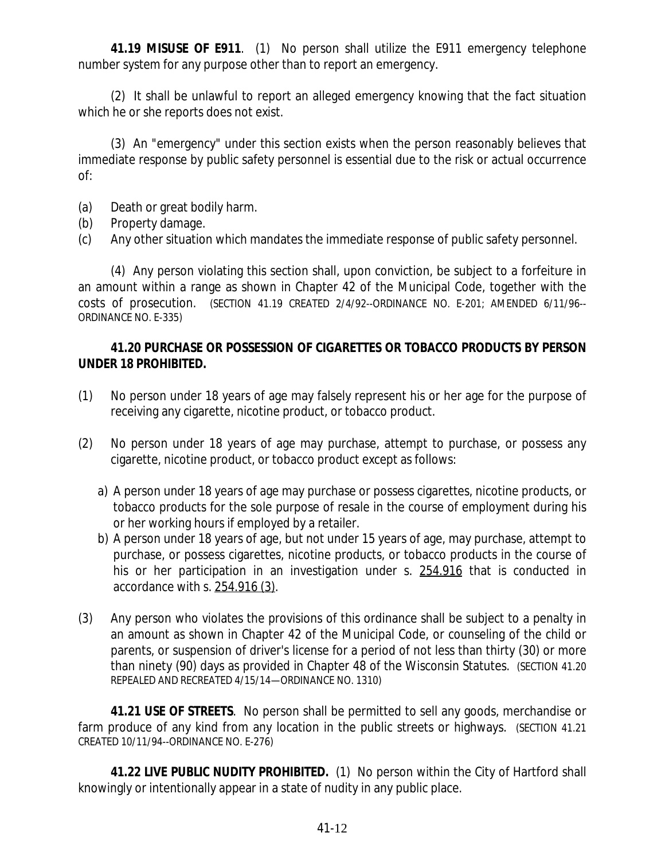**41.19 MISUSE OF E911**. (1) No person shall utilize the E911 emergency telephone number system for any purpose other than to report an emergency.

(2) It shall be unlawful to report an alleged emergency knowing that the fact situation which he or she reports does not exist.

(3) An "emergency" under this section exists when the person reasonably believes that immediate response by public safety personnel is essential due to the risk or actual occurrence of:

- (a) Death or great bodily harm.
- (b) Property damage.
- (c) Any other situation which mandates the immediate response of public safety personnel.

(4) Any person violating this section shall, upon conviction, be subject to a forfeiture in an amount within a range as shown in Chapter 42 of the Municipal Code, together with the costs of prosecution. (SECTION 41.19 CREATED 2/4/92--ORDINANCE NO. E-201; AMENDED 6/11/96-- ORDINANCE NO. E-335)

#### **41.20 PURCHASE OR POSSESSION OF CIGARETTES OR TOBACCO PRODUCTS BY PERSON UNDER 18 PROHIBITED.**

- (1) No person under 18 years of age may falsely represent his or her age for the purpose of receiving any cigarette, nicotine product, or tobacco product.
- (2) No person under 18 years of age may purchase, attempt to purchase, or possess any cigarette, nicotine product, or tobacco product except as follows:
	- a) A person under 18 years of age may purchase or possess cigarettes, nicotine products, or tobacco products for the sole purpose of resale in the course of employment during his or her working hours if employed by a retailer.
	- b) A person under 18 years of age, but not under 15 years of age, may purchase, attempt to purchase, or possess cigarettes, nicotine products, or tobacco products in the course of his or her participation in an investigation under s. 254.916 that is conducted in accordance with s. 254.916 (3).
- (3) Any person who violates the provisions of this ordinance shall be subject to a penalty in an amount as shown in Chapter 42 of the Municipal Code, or counseling of the child or parents, or suspension of driver's license for a period of not less than thirty (30) or more than ninety (90) days as provided in Chapter 48 of the Wisconsin Statutes. (SECTION 41.20 REPEALED AND RECREATED 4/15/14—ORDINANCE NO. 1310)

**41.21 USE OF STREETS**. No person shall be permitted to sell any goods, merchandise or farm produce of any kind from any location in the public streets or highways. (SECTION 41.21 CREATED 10/11/94--ORDINANCE NO. E-276)

**41.22 LIVE PUBLIC NUDITY PROHIBITED.** (1) No person within the City of Hartford shall knowingly or intentionally appear in a state of nudity in any public place.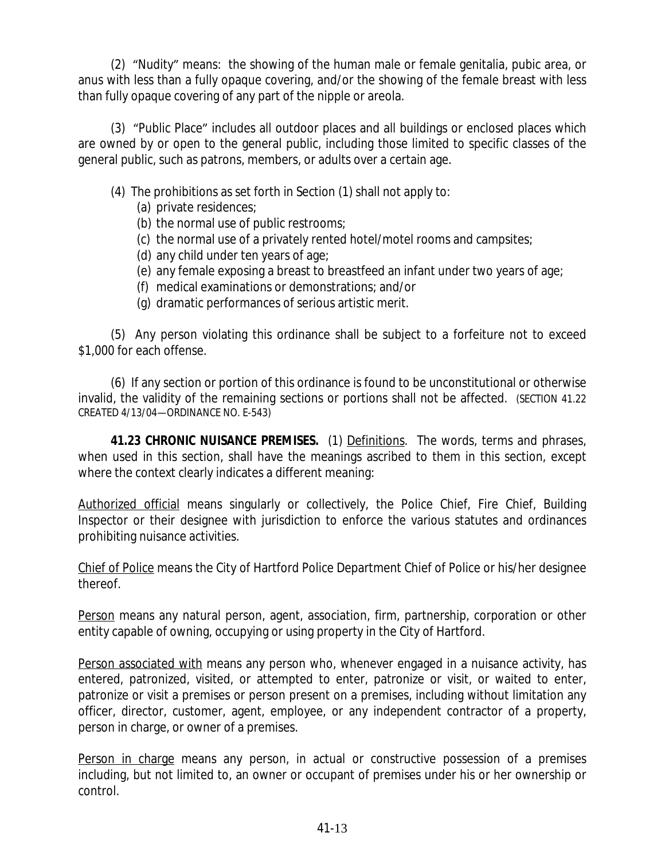(2) "Nudity" means: the showing of the human male or female genitalia, pubic area, or anus with less than a fully opaque covering, and/or the showing of the female breast with less than fully opaque covering of any part of the nipple or areola.

(3) "Public Place" includes all outdoor places and all buildings or enclosed places which are owned by or open to the general public, including those limited to specific classes of the general public, such as patrons, members, or adults over a certain age.

- (4) The prohibitions as set forth in Section (1) shall not apply to:
	- (a) private residences;
	- (b) the normal use of public restrooms;
	- (c) the normal use of a privately rented hotel/motel rooms and campsites;
	- (d) any child under ten years of age;
	- (e) any female exposing a breast to breastfeed an infant under two years of age;
	- (f) medical examinations or demonstrations; and/or
	- (g) dramatic performances of serious artistic merit.

(5) Any person violating this ordinance shall be subject to a forfeiture not to exceed \$1,000 for each offense.

(6) If any section or portion of this ordinance is found to be unconstitutional or otherwise invalid, the validity of the remaining sections or portions shall not be affected. (SECTION 41.22 CREATED 4/13/04—ORDINANCE NO. E-543)

**41.23 CHRONIC NUISANCE PREMISES.** (1) Definitions. The words, terms and phrases, when used in this section, shall have the meanings ascribed to them in this section, except where the context clearly indicates a different meaning:

Authorized official means singularly or collectively, the Police Chief, Fire Chief, Building Inspector or their designee with jurisdiction to enforce the various statutes and ordinances prohibiting nuisance activities.

Chief of Police means the City of Hartford Police Department Chief of Police or his/her designee thereof.

Person means any natural person, agent, association, firm, partnership, corporation or other entity capable of owning, occupying or using property in the City of Hartford.

Person associated with means any person who, whenever engaged in a nuisance activity, has entered, patronized, visited, or attempted to enter, patronize or visit, or waited to enter, patronize or visit a premises or person present on a premises, including without limitation any officer, director, customer, agent, employee, or any independent contractor of a property, person in charge, or owner of a premises.

Person in charge means any person, in actual or constructive possession of a premises including, but not limited to, an owner or occupant of premises under his or her ownership or control.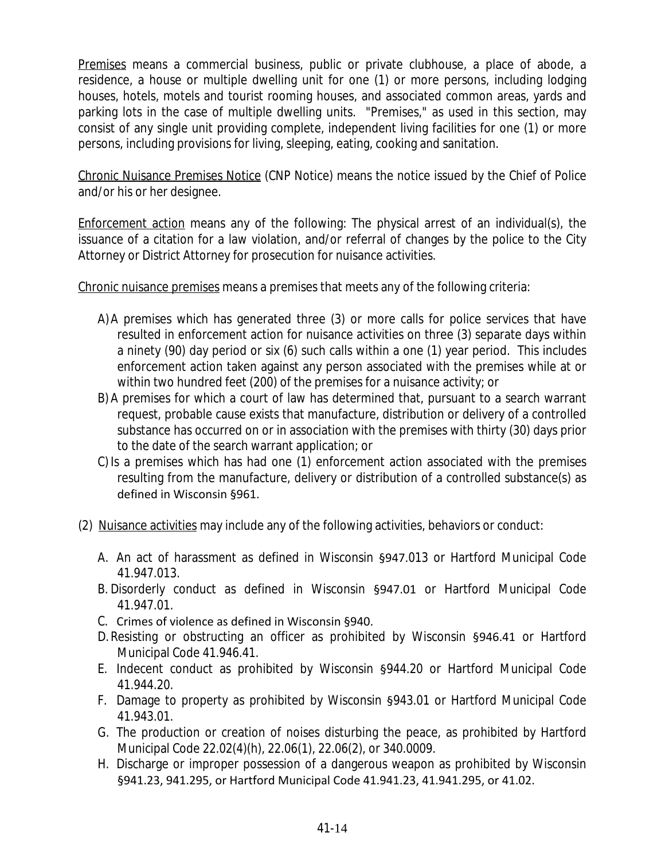Premises means a commercial business, public or private clubhouse, a place of abode, a residence, a house or multiple dwelling unit for one (1) or more persons, including lodging houses, hotels, motels and tourist rooming houses, and associated common areas, yards and parking lots in the case of multiple dwelling units. "Premises," as used in this section, may consist of any single unit providing complete, independent living facilities for one (1) or more persons, including provisions for living, sleeping, eating, cooking and sanitation.

Chronic Nuisance Premises Notice (CNP Notice) means the notice issued by the Chief of Police and/or his or her designee.

Enforcement action means any of the following: The physical arrest of an individual(s), the issuance of a citation for a law violation, and/or referral of changes by the police to the City Attorney or District Attorney for prosecution for nuisance activities.

Chronic nuisance premises means a premises that meets any of the following criteria:

- A)A premises which has generated three (3) or more calls for police services that have resulted in enforcement action for nuisance activities on three (3) separate days within a ninety (90) day period or six (6) such calls within a one (1) year period. This includes enforcement action taken against any person associated with the premises while at or within two hundred feet (200) of the premises for a nuisance activity; or
- B) A premises for which a court of law has determined that, pursuant to a search warrant request, probable cause exists that manufacture, distribution or delivery of a controlled substance has occurred on or in association with the premises with thirty (30) days prior to the date of the search warrant application; or
- C) Is a premises which has had one (1) enforcement action associated with the premises resulting from the manufacture, delivery or distribution of a controlled substance(s) as defined in Wisconsin §961.
- (2) Nuisance activities may include any of the following activities, behaviors or conduct:
	- A. An act of harassment as defined in Wisconsin §947.013 or Hartford Municipal Code 41.947.013.
	- B. Disorderly conduct as defined in Wisconsin §947.01 or Hartford Municipal Code 41.947.01.
	- C. Crimes of violence as defined in Wisconsin §940.
	- D.Resisting or obstructing an officer as prohibited by Wisconsin §946.41 or Hartford Municipal Code 41.946.41.
	- E. Indecent conduct as prohibited by Wisconsin §944.20 or Hartford Municipal Code 41.944.20.
	- F. Damage to property as prohibited by Wisconsin §943.01 or Hartford Municipal Code 41.943.01.
	- G. The production or creation of noises disturbing the peace, as prohibited by Hartford Municipal Code 22.02(4)(h), 22.06(1), 22.06(2), or 340.0009.
	- H. Discharge or improper possession of a dangerous weapon as prohibited by Wisconsin §941.23, 941.295, or Hartford Municipal Code 41.941.23, 41.941.295, or 41.02.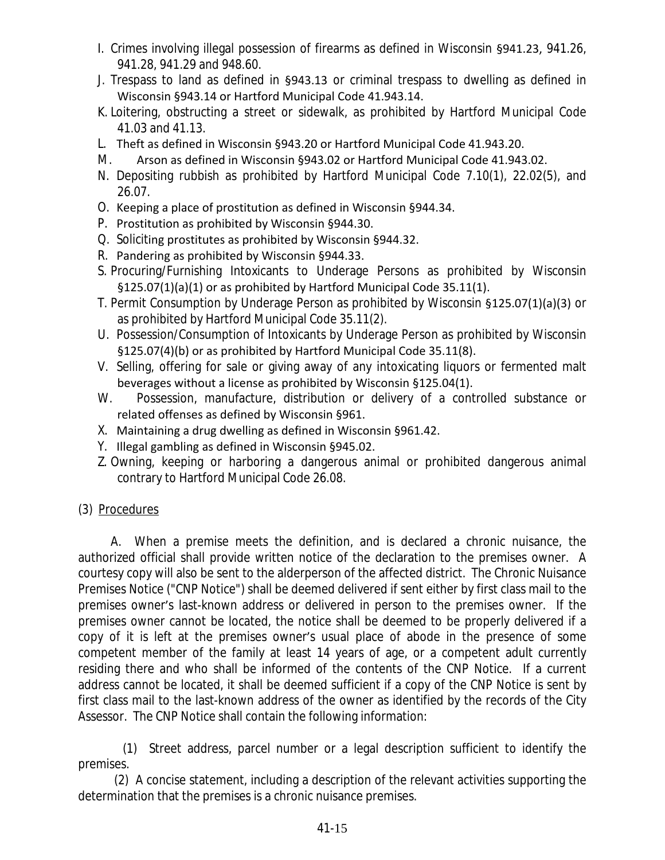- I. Crimes involving illegal possession of firearms as defined in Wisconsin §941.23, 941.26, 941.28, 941.29 and 948.60.
- J. Trespass to land as defined in §943.13 or criminal trespass to dwelling as defined in Wisconsin §943.14 or Hartford Municipal Code 41.943.14.
- K. Loitering, obstructing a street or sidewalk, as prohibited by Hartford Municipal Code 41.03 and 41.13.
- L. Theft as defined in Wisconsin §943.20 or Hartford Municipal Code 41.943.20.
- M. Arson as defined in Wisconsin §943.02 or Hartford Municipal Code 41.943.02.
- N. Depositing rubbish as prohibited by Hartford Municipal Code 7.10(1), 22.02(5), and 26.07.
- O. Keeping a place of prostitution as defined in Wisconsin §944.34.
- P. Prostitution as prohibited by Wisconsin §944.30.
- Q. Soliciting prostitutes as prohibited by Wisconsin §944.32.
- R. Pandering as prohibited by Wisconsin §944.33.
- S. Procuring/Furnishing Intoxicants to Underage Persons as prohibited by Wisconsin §125.07(1)(a)(1) or as prohibited by Hartford Municipal Code 35.11(1).
- T. Permit Consumption by Underage Person as prohibited by Wisconsin §125.07(1)(a)(3) or as prohibited by Hartford Municipal Code 35.11(2).
- U. Possession/Consumption of Intoxicants by Underage Person as prohibited by Wisconsin §125.07(4)(b) or as prohibited by Hartford Municipal Code 35.11(8).
- V. Selling, offering for sale or giving away of any intoxicating liquors or fermented malt beverages without a license as prohibited by Wisconsin §125.04(1).
- W. Possession, manufacture, distribution or delivery of a controlled substance or related offenses as defined by Wisconsin §961.
- X. Maintaining a drug dwelling as defined in Wisconsin §961.42.
- Y. Illegal gambling as defined in Wisconsin §945.02.
- Z. Owning, keeping or harboring a dangerous animal or prohibited dangerous animal contrary to Hartford Municipal Code 26.08.
- (3) Procedures

A. When a premise meets the definition, and is declared a chronic nuisance, the authorized official shall provide written notice of the declaration to the premises owner. A courtesy copy will also be sent to the alderperson of the affected district. The Chronic Nuisance Premises Notice ("CNP Notice") shall be deemed delivered if sent either by first class mail to the premises owner's last-known address or delivered in person to the premises owner. If the premises owner cannot be located, the notice shall be deemed to be properly delivered if a copy of it is left at the premises owner's usual place of abode in the presence of some competent member of the family at least 14 years of age, or a competent adult currently residing there and who shall be informed of the contents of the CNP Notice. If a current address cannot be located, it shall be deemed sufficient if a copy of the CNP Notice is sent by first class mail to the last-known address of the owner as identified by the records of the City Assessor. The CNP Notice shall contain the following information:

(1) Street address, parcel number or a legal description sufficient to identify the premises.

(2) A concise statement, including a description of the relevant activities supporting the determination that the premises is a chronic nuisance premises.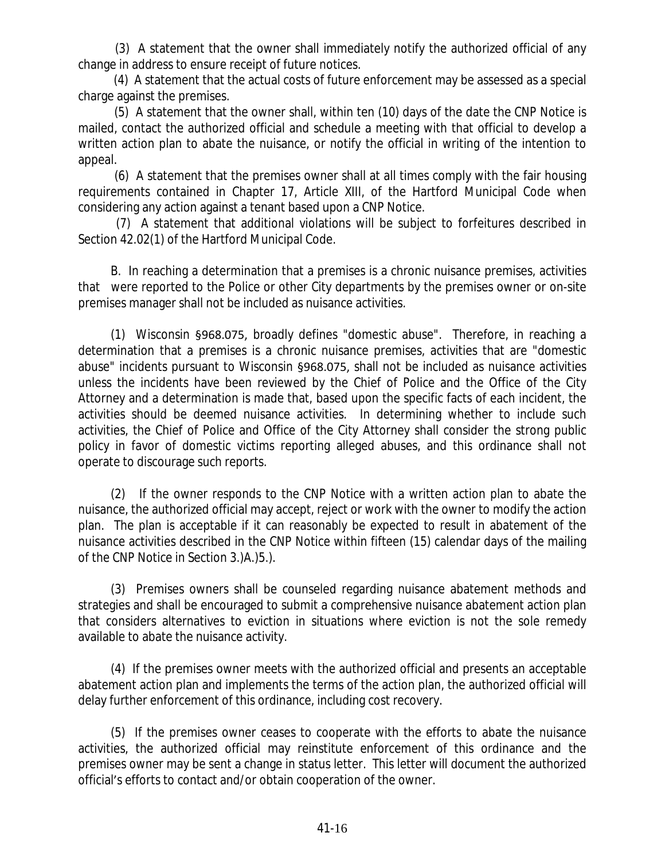(3) A statement that the owner shall immediately notify the authorized official of any change in address to ensure receipt of future notices.

(4) A statement that the actual costs of future enforcement may be assessed as a special charge against the premises.

(5) A statement that the owner shall, within ten (10) days of the date the CNP Notice is mailed, contact the authorized official and schedule a meeting with that official to develop a written action plan to abate the nuisance, or notify the official in writing of the intention to appeal.

(6) A statement that the premises owner shall at all times comply with the fair housing requirements contained in Chapter 17, Article XIII, of the Hartford Municipal Code when considering any action against a tenant based upon a CNP Notice.

(7) A statement that additional violations will be subject to forfeitures described in Section 42.02(1) of the Hartford Municipal Code.

B. In reaching a determination that a premises is a chronic nuisance premises, activities that were reported to the Police or other City departments by the premises owner or on-site premises manager shall not be included as nuisance activities.

(1) Wisconsin §968.075, broadly defines "domestic abuse". Therefore, in reaching a determination that a premises is a chronic nuisance premises, activities that are "domestic abuse" incidents pursuant to Wisconsin §968.075, shall not be included as nuisance activities unless the incidents have been reviewed by the Chief of Police and the Office of the City Attorney and a determination is made that, based upon the specific facts of each incident, the activities should be deemed nuisance activities. In determining whether to include such activities, the Chief of Police and Office of the City Attorney shall consider the strong public policy in favor of domestic victims reporting alleged abuses, and this ordinance shall not operate to discourage such reports.

(2) If the owner responds to the CNP Notice with a written action plan to abate the nuisance, the authorized official may accept, reject or work with the owner to modify the action plan. The plan is acceptable if it can reasonably be expected to result in abatement of the nuisance activities described in the CNP Notice within fifteen (15) calendar days of the mailing of the CNP Notice in Section 3.)A.)5.).

(3) Premises owners shall be counseled regarding nuisance abatement methods and strategies and shall be encouraged to submit a comprehensive nuisance abatement action plan that considers alternatives to eviction in situations where eviction is not the sole remedy available to abate the nuisance activity.

(4) If the premises owner meets with the authorized official and presents an acceptable abatement action plan and implements the terms of the action plan, the authorized official will delay further enforcement of this ordinance, including cost recovery.

(5) If the premises owner ceases to cooperate with the efforts to abate the nuisance activities, the authorized official may reinstitute enforcement of this ordinance and the premises owner may be sent a change in status letter. This letter will document the authorized official's efforts to contact and/or obtain cooperation of the owner.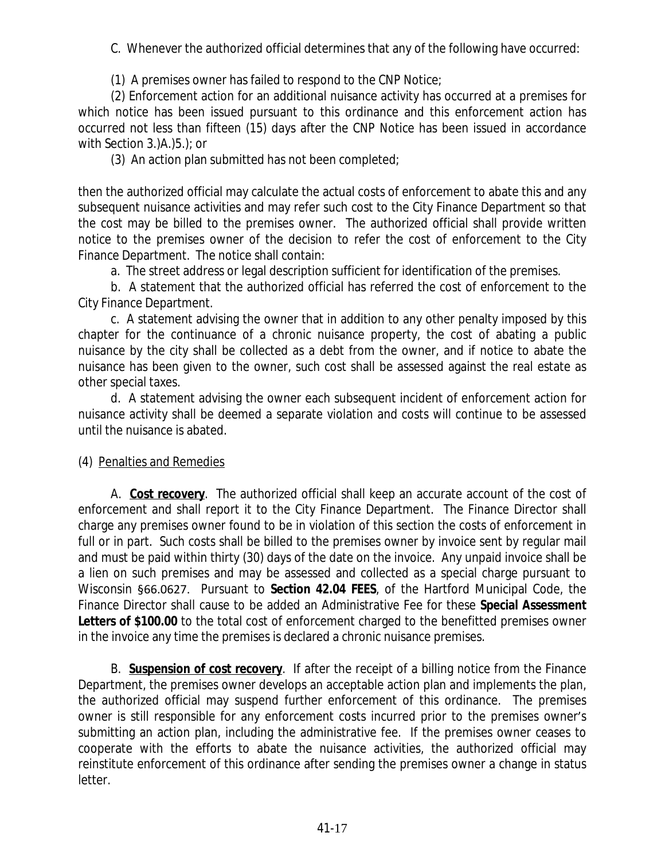C. Whenever the authorized official determines that any of the following have occurred:

(1) A premises owner has failed to respond to the CNP Notice;

(2) Enforcement action for an additional nuisance activity has occurred at a premises for which notice has been issued pursuant to this ordinance and this enforcement action has occurred not less than fifteen (15) days after the CNP Notice has been issued in accordance with Section 3.)A.)5.); or

(3) An action plan submitted has not been completed;

then the authorized official may calculate the actual costs of enforcement to abate this and any subsequent nuisance activities and may refer such cost to the City Finance Department so that the cost may be billed to the premises owner. The authorized official shall provide written notice to the premises owner of the decision to refer the cost of enforcement to the City Finance Department. The notice shall contain:

a. The street address or legal description sufficient for identification of the premises.

b. A statement that the authorized official has referred the cost of enforcement to the City Finance Department.

c. A statement advising the owner that in addition to any other penalty imposed by this chapter for the continuance of a chronic nuisance property, the cost of abating a public nuisance by the city shall be collected as a debt from the owner, and if notice to abate the nuisance has been given to the owner, such cost shall be assessed against the real estate as other special taxes.

d. A statement advising the owner each subsequent incident of enforcement action for nuisance activity shall be deemed a separate violation and costs will continue to be assessed until the nuisance is abated.

(4) Penalties and Remedies

A. **Cost recovery**. The authorized official shall keep an accurate account of the cost of enforcement and shall report it to the City Finance Department. The Finance Director shall charge any premises owner found to be in violation of this section the costs of enforcement in full or in part. Such costs shall be billed to the premises owner by invoice sent by regular mail and must be paid within thirty (30) days of the date on the invoice. Any unpaid invoice shall be a lien on such premises and may be assessed and collected as a special charge pursuant to Wisconsin §66.0627. Pursuant to **Section 42.04 FEES**, of the Hartford Municipal Code, the Finance Director shall cause to be added an Administrative Fee for these **Special Assessment Letters of \$100.00** to the total cost of enforcement charged to the benefitted premises owner in the invoice any time the premises is declared a chronic nuisance premises.

B. **Suspension of cost recovery**. If after the receipt of a billing notice from the Finance Department, the premises owner develops an acceptable action plan and implements the plan, the authorized official may suspend further enforcement of this ordinance. The premises owner is still responsible for any enforcement costs incurred prior to the premises owner's submitting an action plan, including the administrative fee. If the premises owner ceases to cooperate with the efforts to abate the nuisance activities, the authorized official may reinstitute enforcement of this ordinance after sending the premises owner a change in status letter.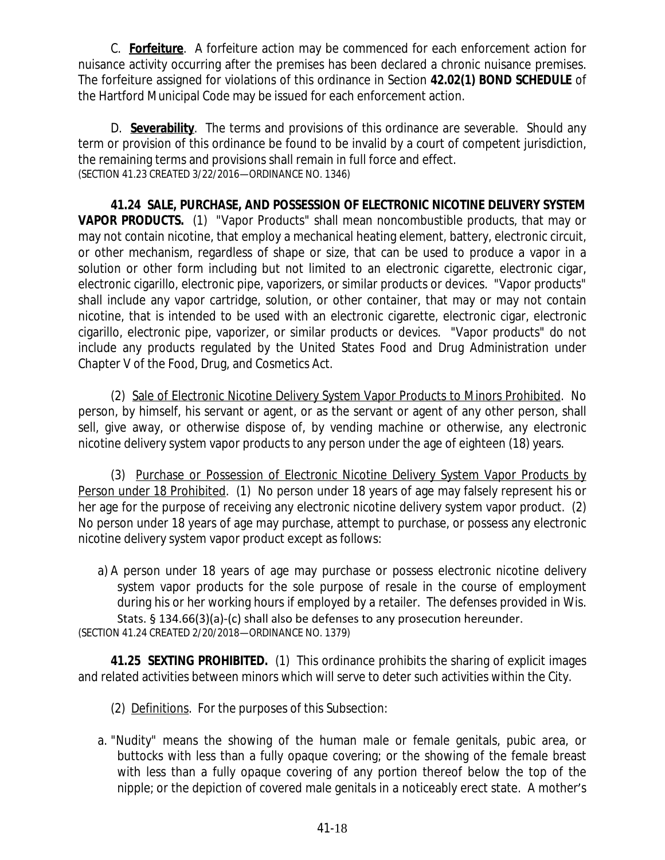C. **Forfeiture**. A forfeiture action may be commenced for each enforcement action for nuisance activity occurring after the premises has been declared a chronic nuisance premises. The forfeiture assigned for violations of this ordinance in Section **42.02(1) BOND SCHEDULE** of the Hartford Municipal Code may be issued for each enforcement action.

D. **Severability**. The terms and provisions of this ordinance are severable. Should any term or provision of this ordinance be found to be invalid by a court of competent jurisdiction, the remaining terms and provisions shall remain in full force and effect. (SECTION 41.23 CREATED 3/22/2016—ORDINANCE NO. 1346)

**41.24 SALE, PURCHASE, AND POSSESSION OF ELECTRONIC NICOTINE DELIVERY SYSTEM VAPOR PRODUCTS.** (1) "Vapor Products" shall mean noncombustible products, that may or may not contain nicotine, that employ a mechanical heating element, battery, electronic circuit, or other mechanism, regardless of shape or size, that can be used to produce a vapor in a solution or other form including but not limited to an electronic cigarette, electronic cigar, electronic cigarillo, electronic pipe, vaporizers, or similar products or devices. "Vapor products" shall include any vapor cartridge, solution, or other container, that may or may not contain nicotine, that is intended to be used with an electronic cigarette, electronic cigar, electronic cigarillo, electronic pipe, vaporizer, or similar products or devices. "Vapor products" do not include any products regulated by the United States Food and Drug Administration under Chapter V of the Food, Drug, and Cosmetics Act.

(2) Sale of Electronic Nicotine Delivery System Vapor Products to Minors Prohibited. No person, by himself, his servant or agent, or as the servant or agent of any other person, shall sell, give away, or otherwise dispose of, by vending machine or otherwise, any electronic nicotine delivery system vapor products to any person under the age of eighteen (18) years.

(3) Purchase or Possession of Electronic Nicotine Delivery System Vapor Products by Person under 18 Prohibited. (1) No person under 18 years of age may falsely represent his or her age for the purpose of receiving any electronic nicotine delivery system vapor product. (2) No person under 18 years of age may purchase, attempt to purchase, or possess any electronic nicotine delivery system vapor product except as follows:

a) A person under 18 years of age may purchase or possess electronic nicotine delivery system vapor products for the sole purpose of resale in the course of employment during his or her working hours if employed by a retailer. The defenses provided in Wis. Stats. § 134.66(3)(a)-(c) shall also be defenses to any prosecution hereunder. (SECTION 41.24 CREATED 2/20/2018—ORDINANCE NO. 1379)

**41.25 SEXTING PROHIBITED.** (1) This ordinance prohibits the sharing of explicit images and related activities between minors which will serve to deter such activities within the City.

- (2) Definitions. For the purposes of this Subsection:
- a. "Nudity" means the showing of the human male or female genitals, pubic area, or buttocks with less than a fully opaque covering; or the showing of the female breast with less than a fully opaque covering of any portion thereof below the top of the nipple; or the depiction of covered male genitals in a noticeably erect state. A mother's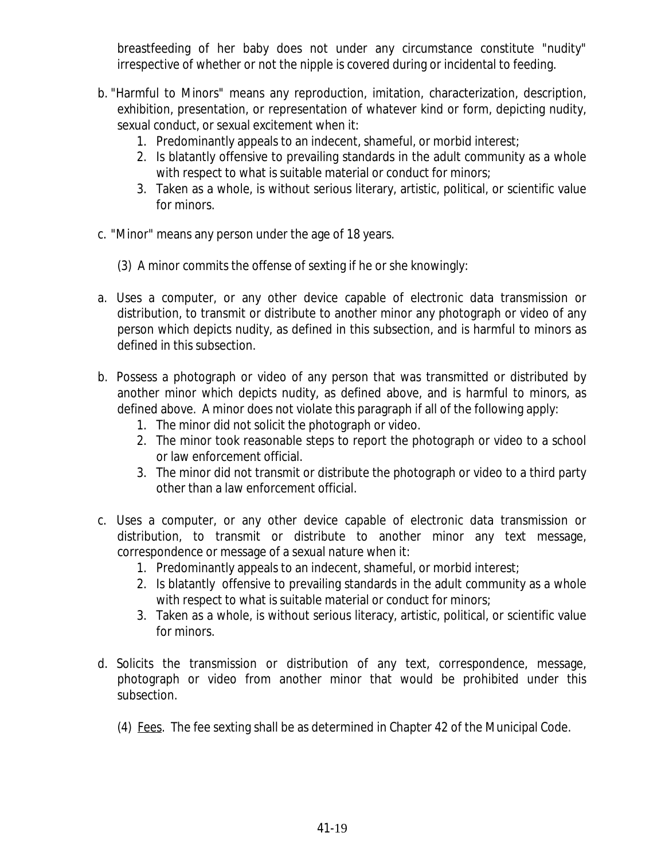breastfeeding of her baby does not under any circumstance constitute "nudity" irrespective of whether or not the nipple is covered during or incidental to feeding.

- b. "Harmful to Minors" means any reproduction, imitation, characterization, description, exhibition, presentation, or representation of whatever kind or form, depicting nudity, sexual conduct, or sexual excitement when it:
	- 1. Predominantly appeals to an indecent, shameful, or morbid interest;
	- 2. Is blatantly offensive to prevailing standards in the adult community as a whole with respect to what is suitable material or conduct for minors;
	- 3. Taken as a whole, is without serious literary, artistic, political, or scientific value for minors.
- c. "Minor" means any person under the age of 18 years.
	- (3) A minor commits the offense of sexting if he or she knowingly:
- a. Uses a computer, or any other device capable of electronic data transmission or distribution, to transmit or distribute to another minor any photograph or video of any person which depicts nudity, as defined in this subsection, and is harmful to minors as defined in this subsection.
- b. Possess a photograph or video of any person that was transmitted or distributed by another minor which depicts nudity, as defined above, and is harmful to minors, as defined above. A minor does not violate this paragraph if all of the following apply:
	- 1. The minor did not solicit the photograph or video.
	- 2. The minor took reasonable steps to report the photograph or video to a school or law enforcement official.
	- 3. The minor did not transmit or distribute the photograph or video to a third party other than a law enforcement official.
- c. Uses a computer, or any other device capable of electronic data transmission or distribution, to transmit or distribute to another minor any text message, correspondence or message of a sexual nature when it:
	- 1. Predominantly appeals to an indecent, shameful, or morbid interest;
	- 2. Is blatantly offensive to prevailing standards in the adult community as a whole with respect to what is suitable material or conduct for minors;
	- 3. Taken as a whole, is without serious literacy, artistic, political, or scientific value for minors.
- d. Solicits the transmission or distribution of any text, correspondence, message, photograph or video from another minor that would be prohibited under this subsection.
	- (4) Fees. The fee sexting shall be as determined in Chapter 42 of the Municipal Code.